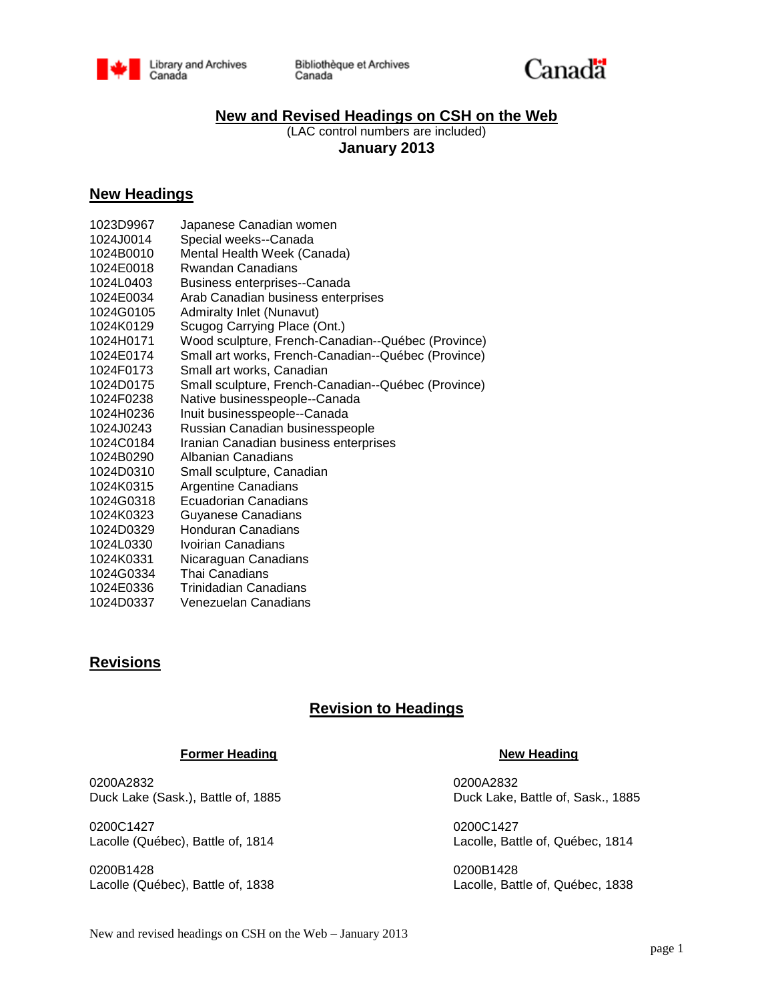

Bibliothèque et Archives Canada



# **New and Revised Headings on CSH on the Web**

(LAC control numbers are included) **January 2013**

# **New Headings**

| 1023D9967 | Japanese Canadian women                             |
|-----------|-----------------------------------------------------|
| 1024J0014 | Special weeks--Canada                               |
| 1024B0010 | Mental Health Week (Canada)                         |
| 1024E0018 | Rwandan Canadians                                   |
| 1024L0403 | Business enterprises--Canada                        |
| 1024E0034 | Arab Canadian business enterprises                  |
| 1024G0105 | <b>Admiralty Inlet (Nunavut)</b>                    |
| 1024K0129 | Scugog Carrying Place (Ont.)                        |
| 1024H0171 | Wood sculpture, French-Canadian--Québec (Province)  |
| 1024E0174 | Small art works, French-Canadian--Québec (Province) |
| 1024F0173 | Small art works, Canadian                           |
| 1024D0175 | Small sculpture, French-Canadian--Québec (Province) |
| 1024F0238 | Native businesspeople--Canada                       |
| 1024H0236 | Inuit businesspeople--Canada                        |
| 1024J0243 | Russian Canadian businesspeople                     |
| 1024C0184 | Iranian Canadian business enterprises               |
| 1024B0290 | Albanian Canadians                                  |
| 1024D0310 | Small sculpture, Canadian                           |
| 1024K0315 | <b>Argentine Canadians</b>                          |
| 1024G0318 | Ecuadorian Canadians                                |
| 1024K0323 | <b>Guyanese Canadians</b>                           |
| 1024D0329 | Honduran Canadians                                  |
| 1024L0330 | Ivoirian Canadians                                  |
| 1024K0331 | Nicaraguan Canadians                                |
| 1024G0334 | Thai Canadians                                      |
| 1024E0336 | Trinidadian Canadians                               |
| 1024D0337 | Venezuelan Canadians                                |

# **Revisions**

# **Revision to Headings**

### **Former Heading Community Community Community Property Review Mew Heading**

0200A2832 0200A2832

0200C1427 0200C1427 Lacolle (Québec), Battle of, 1814 Lacolle, Battle of, Québec, 1814

0200B1428 0200B1428 Lacolle (Québec), Battle of, 1838 Lacolle, Battle of, Québec, 1838

Duck Lake (Sask.), Battle of, 1885 Duck Lake, Battle of, Sask., 1885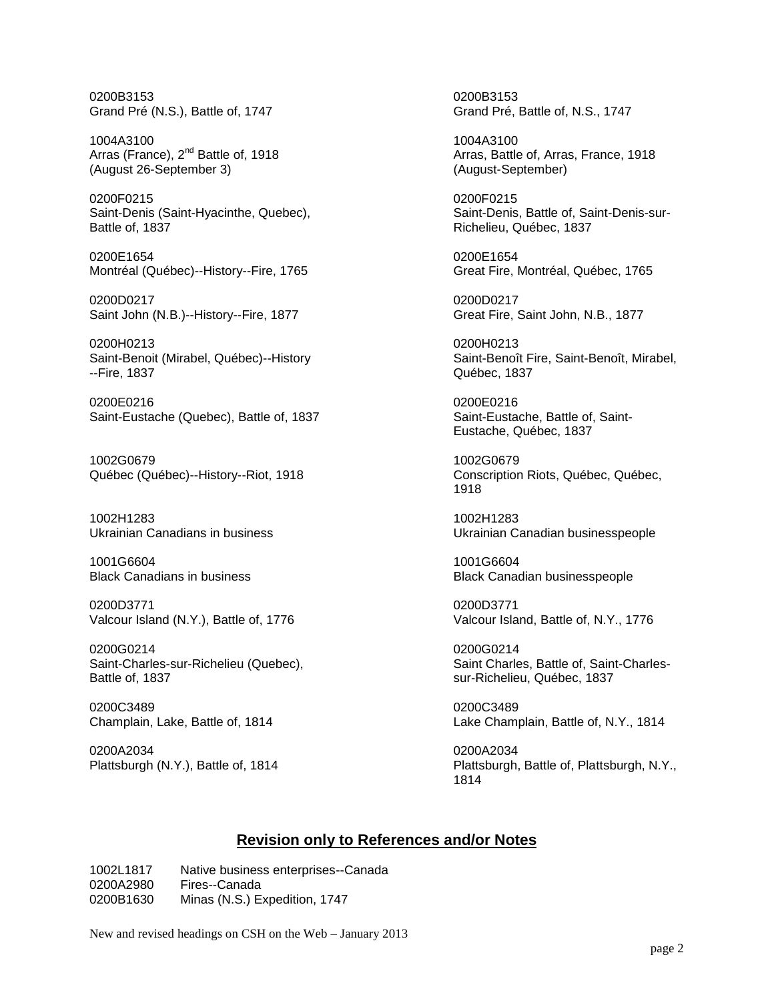0200B3153 0200B3153 Grand Pré (N.S.), Battle of, 1747 Grand Pré, Battle of, N.S., 1747

Arras (France), 2<sup>nd</sup> Battle of, 1918 (August 26-September 3) (August-September)

0200F0215<br>
Saint-Denis (Saint-Hyacinthe, Quebec), Casebook Channel Saint-Denis, Battle of, Saint-Denis-sur-Saint-Denis (Saint-Hyacinthe, Quebec), Battle of, 1837 **Battle of Access 1837** Richelieu, Québec, 1837

0200E1654 0200E1654 Montréal (Québec)--History--Fire, 1765 Great Fire, Montréal, Québec, 1765

0200D0217 0200D0217 Saint John (N.B.)--History--Fire, 1877 Great Fire, Saint John, N.B., 1877

0200H0213 0200H0213 --Fire, 1837 Québec, 1837

0200E0216 0200E0216 Saint-Eustache (Quebec), Battle of, 1837 Saint-Eustache, Battle of, Saint-

1002G0679 1002G0679 Québec (Québec)--History--Riot, 1918 Conscription Riots, Québec, Québec,

1002H1283 1002H1283

1001G6604 1001G6604

0200D3771 0200D3771 Valcour Island (N.Y.), Battle of, 1776 Valcour Island, Battle of, N.Y., 1776

0200G0214 0200G0214 Battle of, 1837 sur-Richelieu, Québec, 1837

0200C3489 0200C3489

0200A2034 0200A2034<br>Plattsburgh (N.Y.), Battle of, 1814 0200A2034

1004A3100<br>Arras (France), 2<sup>nd</sup> Battle of, 1918 **1998 120 Extrac**t Arras, Battle of, Arras, France, 1918

Saint-Benoit (Mirabel, Québec)--History Saint-Benoît Fire, Saint-Benoît, Mirabel,

Eustache, Québec, 1837

1918

Ukrainian Canadians in business Ukrainian Canadian businesspeople

Black Canadian businesspeople

Saint-Charles-sur-Richelieu (Quebec), Saint-Charles, Battle of, Saint-Charles-

Champlain, Lake, Battle of, 1814 Lake Champlain, Battle of, N.Y., 1814

Plattsburgh, Battle of, Plattsburgh, N.Y., 1814

## **Revision only to References and/or Notes**

1002L1817 Native business enterprises--Canada 0200A2980 Fires--Canada 0200B1630 Minas (N.S.) Expedition, 1747

New and revised headings on CSH on the Web – January 2013